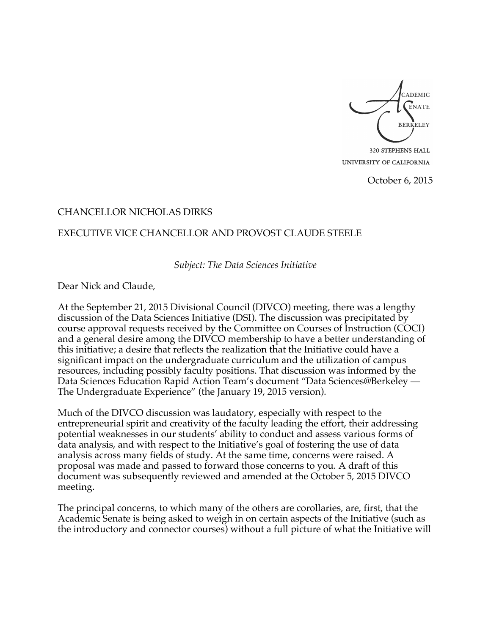ADEMIC **ENATE BERKELEY** 320 STEPHENS HALL

UNIVERSITY OF CALIFORNIA

October 6, 2015

## CHANCELLOR NICHOLAS DIRKS

## EXECUTIVE VICE CHANCELLOR AND PROVOST CLAUDE STEELE

*Subject: The Data Sciences Initiative*

Dear Nick and Claude,

At the September 21, 2015 Divisional Council (DIVCO) meeting, there was a lengthy discussion of the Data Sciences Initiative (DSI). The discussion was precipitated by course approval requests received by the Committee on Courses of Instruction (COCI) and a general desire among the DIVCO membership to have a better understanding of this initiative; a desire that reflects the realization that the Initiative could have a significant impact on the undergraduate curriculum and the utilization of campus resources, including possibly faculty positions. That discussion was informed by the Data Sciences Education Rapid Action Team's document "Data Sciences@Berkeley — The Undergraduate Experience" (the January 19, 2015 version).

Much of the DIVCO discussion was laudatory, especially with respect to the entrepreneurial spirit and creativity of the faculty leading the effort, their addressing potential weaknesses in our students' ability to conduct and assess various forms of data analysis, and with respect to the Initiative's goal of fostering the use of data analysis across many fields of study. At the same time, concerns were raised. A proposal was made and passed to forward those concerns to you. A draft of this document was subsequently reviewed and amended at the October 5, 2015 DIVCO meeting.

The principal concerns, to which many of the others are corollaries, are, first, that the Academic Senate is being asked to weigh in on certain aspects of the Initiative (such as the introductory and connector courses) without a full picture of what the Initiative will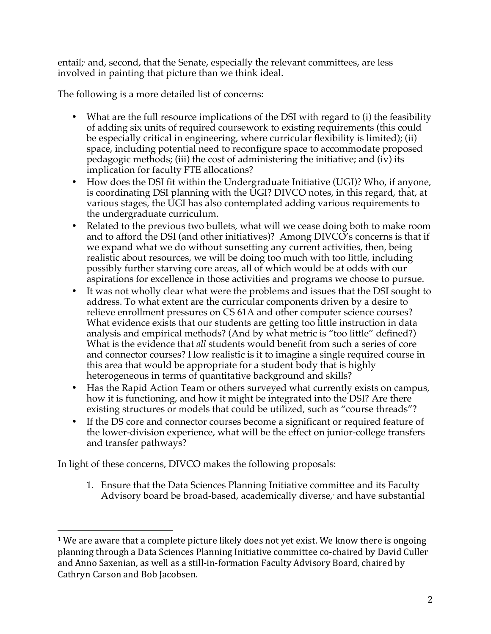entail; <sup>1</sup> and, second, that the Senate, especially the relevant committees, are less involved in painting that picture than we think ideal.

The following is a more detailed list of concerns:

- What are the full resource implications of the DSI with regard to (i) the feasibility of adding six units of required coursework to existing requirements (this could be especially critical in engineering, where curricular flexibility is limited); (ii) space, including potential need to reconfigure space to accommodate proposed pedagogic methods; (iii) the cost of administering the initiative; and (iv) its implication for faculty FTE allocations?
- How does the DSI fit within the Undergraduate Initiative (UGI)? Who, if anyone, is coordinating DSI planning with the UGI? DIVCO notes, in this regard, that, at various stages, the UGI has also contemplated adding various requirements to the undergraduate curriculum.
- Related to the previous two bullets, what will we cease doing both to make room and to afford the DSI (and other initiatives)? Among DIVCO's concerns is that if we expand what we do without sunsetting any current activities, then, being realistic about resources, we will be doing too much with too little, including possibly further starving core areas, all of which would be at odds with our aspirations for excellence in those activities and programs we choose to pursue.
- It was not wholly clear what were the problems and issues that the DSI sought to address. To what extent are the curricular components driven by a desire to relieve enrollment pressures on CS 61A and other computer science courses? What evidence exists that our students are getting too little instruction in data analysis and empirical methods? (And by what metric is "too little" defined?) What is the evidence that *all* students would benefit from such a series of core and connector courses? How realistic is it to imagine a single required course in this area that would be appropriate for a student body that is highly heterogeneous in terms of quantitative background and skills?
- Has the Rapid Action Team or others surveyed what currently exists on campus, how it is functioning, and how it might be integrated into the DSI? Are there existing structures or models that could be utilized, such as "course threads"?
- If the DS core and connector courses become a significant or required feature of the lower-division experience, what will be the effect on junior-college transfers and transfer pathways?

In light of these concerns, DIVCO makes the following proposals:

 

1. Ensure that the Data Sciences Planning Initiative committee and its Faculty Advisory board be broad-based, academically diverse, <sup>2</sup> and have substantial

 $1$  We are aware that a complete picture likely does not yet exist. We know there is ongoing planning through a Data Sciences Planning Initiative committee co-chaired by David Culler and Anno Saxenian, as well as a still-in-formation Faculty Advisory Board, chaired by Cathryn Carson and Bob Jacobsen.